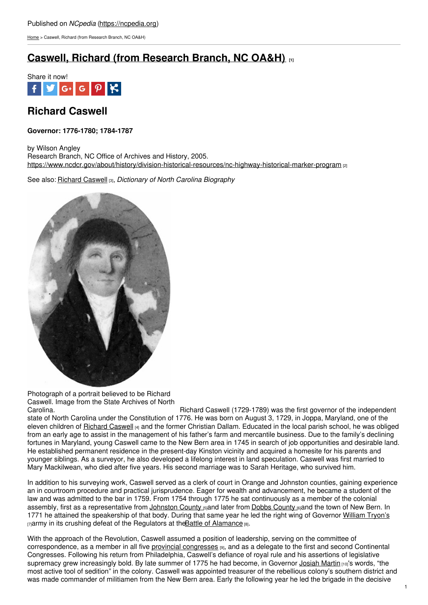[Home](https://ncpedia.org/) > Caswell, Richard (from Research Branch, NC OA&H)

# **Caswell, Richard (from [Research](https://ncpedia.org/caswell-richard-research-branch-nc) Branch, NC OA&H) [1]**



## **Richard Caswell**

### **Governor: 1776-1780; 1784-1787**

by Wilson Angley Research Branch, NC Office of Archives and History, 2005. <https://www.ncdcr.gov/about/history/division-historical-resources/nc-highway-historical-marker-program> [2]

See also: [Richard](https://ncpedia.org/biography/caswell-richard-0) Caswell [3], *Dictionary of North Carolina Biography*



Photograph of a portrait believed to be Richard Caswell. Image from the State Archives of North

Carolina. Carolina. Richard Caswell (1729-1789) was the first governor of the independent state of North Carolina under the Constitution of 1776. He was born on August 3, 1729, in Joppa, Maryland, one of the eleven children of [Richard](https://ncpedia.org/biography/caswell-richard) Caswell [4] and the former Christian Dallam. Educated in the local parish school, he was obliged from an early age to assist in the management of his father's farm and mercantile business. Due to the family's declining fortunes in Maryland, young Caswell came to the New Bern area in 1745 in search of job opportunities and desirable land. He established permanent residence in the present-day Kinston vicinity and acquired a homesite for his parents and younger siblings. As a surveyor, he also developed a lifelong interest in land speculation. Caswell was first married to Mary Mackilwean, who died after five years. His second marriage was to Sarah Heritage, who survived him.

In addition to his surveying work, Caswell served as a clerk of court in Orange and Johnston counties, gaining experience an in courtroom procedure and practical jurisprudence. Eager for wealth and advancement, he became a student of the law and was admitted to the bar in 1759. From 1754 through 1775 he sat continuously as a member of the colonial assembly, first as a representative from [Johnston](https://ncpedia.org/geography/johnston) [County](https://ncpedia.org/geography/greene/history) [5]and later from Dobbs County [6]and the town of New Bern. In 1771 he attained the speakership of that body. During that same year he led the right wing of Governor [William](https://ncpedia.org/biography/governors/tryon) Tryon's  $_{[7]}$ army in its crushing defeat of the Regulators at the Battle of [Alamance](https://ncpedia.org/alamance-battle)  $_{[8]}$ .

With the approach of the Revolution, Caswell assumed a position of leadership, serving on the committee of correspondence, as a member in all five provincial [congresses](https://ncpedia.org/provincial-congresses) [9], and as a delegate to the first and second Continental Congresses. Following his return from Philadelphia, Caswell's defiance of royal rule and his assertions of legislative supremacy grew increasingly bold. By late summer of 1775 he had become, in Governor [Josiah](https://ncpedia.org/biography/martin-josiah) Martin [10]'s words, "the most active tool of sedition" in the colony. Caswell was appointed treasurer of the rebellious colony's southern district and was made commander of militiamen from the New Bern area. Early the following year he led the brigade in the decisive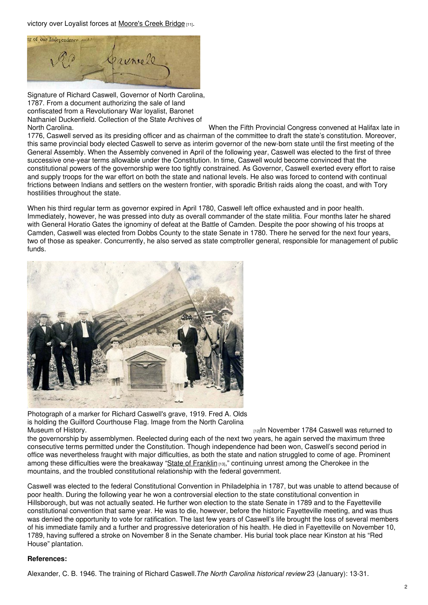victory over Loyalist forces at [Moore's](https://ncpedia.org/moores-creek-bridge-battle) Creek Bridge [11].



Signature of Richard Caswell, Governor of North Carolina, 1787. From a document authorizing the sale of land confiscated from a Revolutionary War loyalist, Baronet Nathaniel Duckenfield. Collection of the State Archives of

North Carolina. When the Fifth Provincial Congress convened at Halifax late in 1776, Caswell served as its presiding officer and as chairman of the committee to draft the state's constitution. Moreover, this same provincial body elected Caswell to serve as interim governor of the new-born state until the first meeting of the General Assembly. When the Assembly convened in April of the following year, Caswell was elected to the first of three successive one-year terms allowable under the Constitution. In time, Caswell would become convinced that the constitutional powers of the governorship were too tightly constrained. As Governor, Caswell exerted every effort to raise and supply troops for the war effort on both the state and national levels. He also was forced to contend with continual frictions between Indians and settlers on the western frontier, with sporadic British raids along the coast, and with Tory hostilities throughout the state.

When his third regular term as governor expired in April 1780, Caswell left office exhausted and in poor health. Immediately, however, he was pressed into duty as overall commander of the state militia. Four months later he shared with General Horatio Gates the ignominy of defeat at the Battle of Camden. Despite the poor showing of his troops at Camden, Caswell was elected from Dobbs County to the state Senate in 1780. There he served for the next four years, two of those as speaker. Concurrently, he also served as state comptroller general, responsible for management of public funds.



Photograph of a marker for Richard Caswell's grave, 1919. Fred A. Olds is holding the Guilford Courthouse Flag. Image from the North Carolina<br>Museum of History.

maln November 1784 Caswell was returned to

the governorship by assemblymen. Reelected during each of the next two years, he again served the maximum three consecutive terms permitted under the Constitution. Though independence had been won, Caswell's second period in office was nevertheless fraught with major difficulties, as both the state and nation struggled to come of age. Prominent among these difficulties were the breakaway "State of [Franklin](https://ncpedia.org/franklin-state) [13]," continuing unrest among the Cherokee in the mountains, and the troubled constitutional relationship with the federal government.

Caswell was elected to the federal Constitutional Convention in Philadelphia in 1787, but was unable to attend because of poor health. During the following year he won a controversial election to the state constitutional convention in Hillsborough, but was not actually seated. He further won election to the state Senate in 1789 and to the Fayetteville constitutional convention that same year. He was to die, however, before the historic Fayetteville meeting, and was thus was denied the opportunity to vote for ratification. The last few years of Caswell's life brought the loss of several members of his immediate family and a further and progressive deterioration of his health. He died in Fayetteville on November 10, 1789, having suffered a stroke on November 8 in the Senate chamber. His burial took place near Kinston at his "Red House" plantation.

### **References:**

Alexander, C. B. 1946. The training of Richard Caswell.*The North Carolina historical review* 23 (January): 13-31.